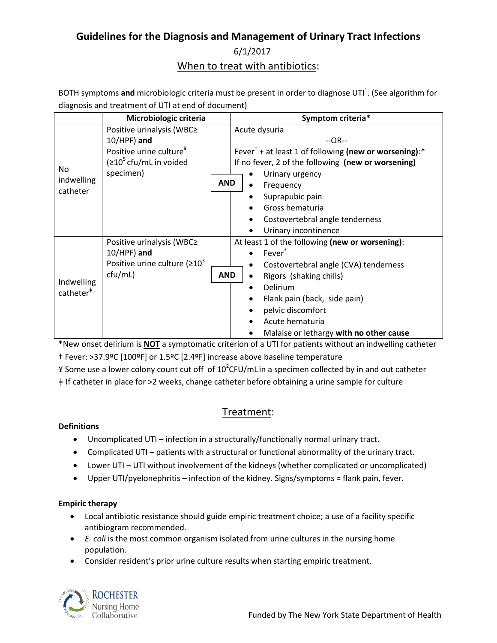# **Guidelines for the Diagnosis and Management of Urinary Tract Infections**

6/1/2017 When to treat with antibiotics:

BOTH symptoms and microbiologic criteria must be present in order to diagnose UTI<sup>1</sup>[.](#page-3-0) (See algorithm for diagnosis and treatment of UTI at end of document)

|                                     | Microbiologic criteria                    | Symptom criteria*                                                                    |  |
|-------------------------------------|-------------------------------------------|--------------------------------------------------------------------------------------|--|
| No.<br>indwelling<br>catheter       | Positive urinalysis (WBC≥                 | Acute dysuria                                                                        |  |
|                                     | $10/HPF)$ and                             | $-OR-$                                                                               |  |
|                                     | Positive urine culture <sup>¥</sup>       | Fever <sup><math>\dagger</math></sup> + at least 1 of following (new or worsening):* |  |
|                                     | $(210^5 \text{cft/mL} \text{ in voided})$ | If no fever, 2 of the following (new or worsening)                                   |  |
|                                     | specimen)                                 | Urinary urgency                                                                      |  |
|                                     | <b>AND</b>                                | Frequency                                                                            |  |
|                                     |                                           | Suprapubic pain                                                                      |  |
|                                     |                                           | Gross hematuria                                                                      |  |
|                                     |                                           | Costovertebral angle tenderness                                                      |  |
|                                     |                                           | Urinary incontinence                                                                 |  |
| Indwelling<br>catheter <sup>#</sup> | Positive urinalysis (WBC≥                 | At least 1 of the following (new or worsening):                                      |  |
|                                     | $10/HPF$ ) and                            | Fever <sup>†</sup>                                                                   |  |
|                                     | Positive urine culture ( $\geq 10^3$      | Costovertebral angle (CVA) tenderness                                                |  |
|                                     | ctu/mL)<br><b>AND</b>                     | Rigors (shaking chills)                                                              |  |
|                                     |                                           | Delirium                                                                             |  |
|                                     |                                           | Flank pain (back, side pain)                                                         |  |
|                                     |                                           | pelvic discomfort                                                                    |  |
|                                     |                                           | Acute hematuria                                                                      |  |
|                                     |                                           | Malaise or lethargy with no other cause                                              |  |

\*New onset delirium is **NOT** a symptomatic criterion of a UTI for patients without an indwelling catheter

† Fever: >37.9ºC [100ºF] or 1.5ºC [2.4ºF] increase above baseline temperature

¥ Some use a lower colony count cut off of 10<sup>2</sup>CFU/mL in a specimen collected by in and out catheter

ǂ If catheter in place for >2 weeks, change catheter before obtaining a urine sample for culture

## Treatment:

#### **Definitions**

- Uncomplicated UTI infection in a structurally/functionally normal urinary tract.
- Complicated UTI patients with a structural or functional abnormality of the urinary tract.
- Lower UTI UTI without involvement of the kidneys (whether complicated or uncomplicated)
- Upper UTI/pyelonephritis infection of the kidney. Signs/symptoms = flank pain, fever.

### **Empiric therapy**

- Local antibiotic resistance should guide empiric treatment choice; a use of a facility specific antibiogram recommended.
- *E. coli* is the most common organism isolated from urine cultures in the nursing home population.
- Consider resident's prior urine culture results when starting empiric treatment.

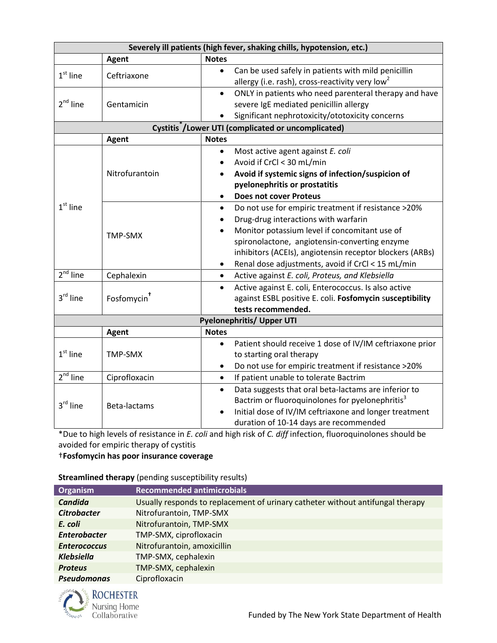| Severely ill patients (high fever, shaking chills, hypotension, etc.) |                         |                                                                       |  |  |  |  |
|-----------------------------------------------------------------------|-------------------------|-----------------------------------------------------------------------|--|--|--|--|
|                                                                       | <b>Agent</b>            | <b>Notes</b>                                                          |  |  |  |  |
| $1st$ line                                                            | Ceftriaxone             | Can be used safely in patients with mild penicillin<br>$\bullet$      |  |  |  |  |
|                                                                       |                         | allergy (i.e. rash), cross-reactivity very low <sup>2</sup>           |  |  |  |  |
|                                                                       | Gentamicin              | ONLY in patients who need parenteral therapy and have<br>$\bullet$    |  |  |  |  |
| $2nd$ line                                                            |                         | severe IgE mediated penicillin allergy                                |  |  |  |  |
|                                                                       |                         | Significant nephrotoxicity/ototoxicity concerns                       |  |  |  |  |
| Cystitis <sup>*</sup> /Lower UTI (complicated or uncomplicated)       |                         |                                                                       |  |  |  |  |
|                                                                       | <b>Agent</b>            | <b>Notes</b>                                                          |  |  |  |  |
|                                                                       | Nitrofurantoin          | Most active agent against E. coli<br>$\bullet$                        |  |  |  |  |
|                                                                       |                         | Avoid if CrCl < 30 mL/min                                             |  |  |  |  |
|                                                                       |                         | Avoid if systemic signs of infection/suspicion of                     |  |  |  |  |
|                                                                       |                         | pyelonephritis or prostatitis                                         |  |  |  |  |
|                                                                       |                         | <b>Does not cover Proteus</b>                                         |  |  |  |  |
| $1st$ line                                                            |                         | Do not use for empiric treatment if resistance >20%<br>$\bullet$      |  |  |  |  |
|                                                                       | TMP-SMX                 | Drug-drug interactions with warfarin                                  |  |  |  |  |
|                                                                       |                         | Monitor potassium level if concomitant use of                         |  |  |  |  |
|                                                                       |                         | spironolactone, angiotensin-converting enzyme                         |  |  |  |  |
|                                                                       |                         | inhibitors (ACEIs), angiotensin receptor blockers (ARBs)              |  |  |  |  |
|                                                                       |                         | Renal dose adjustments, avoid if CrCl < 15 mL/min                     |  |  |  |  |
| $2nd$ line                                                            | Cephalexin              | Active against E. coli, Proteus, and Klebsiella<br>$\bullet$          |  |  |  |  |
|                                                                       | Fosfomycin <sup>+</sup> | Active against E. coli, Enterococcus. Is also active<br>$\bullet$     |  |  |  |  |
| 3rd line                                                              |                         | against ESBL positive E. coli. Fosfomycin susceptibility              |  |  |  |  |
|                                                                       |                         | tests recommended.                                                    |  |  |  |  |
| <b>Pyelonephritis/ Upper UTI</b>                                      |                         |                                                                       |  |  |  |  |
|                                                                       | <b>Agent</b>            | <b>Notes</b>                                                          |  |  |  |  |
| $1st$ line                                                            | <b>TMP-SMX</b>          | Patient should receive 1 dose of IV/IM ceftriaxone prior<br>$\bullet$ |  |  |  |  |
|                                                                       |                         | to starting oral therapy                                              |  |  |  |  |
|                                                                       |                         | Do not use for empiric treatment if resistance >20%                   |  |  |  |  |
| $2nd$ line                                                            | Ciprofloxacin           | If patient unable to tolerate Bactrim<br>$\bullet$                    |  |  |  |  |
| $3^{\text{rd}}$ line                                                  | Beta-lactams            | Data suggests that oral beta-lactams are inferior to<br>$\bullet$     |  |  |  |  |
|                                                                       |                         | Bactrim or fluoroquinolones for pyelonephritis <sup>3</sup>           |  |  |  |  |
|                                                                       |                         | Initial dose of IV/IM ceftriaxone and longer treatment<br>$\bullet$   |  |  |  |  |
|                                                                       |                         | duration of 10-14 days are recommended                                |  |  |  |  |

\*Due to high levels of resistance in *E. coli* and high risk of *C. diff* infection, fluoroquinolones should be avoided for empiric therapy of cystitis

†**Fosfomycin has poor insurance coverage**

**Streamlined therapy** (pending susceptibility results)

| Organism            | <b>Recommended antimicrobials</b>                                              |
|---------------------|--------------------------------------------------------------------------------|
| Candida             | Usually responds to replacement of urinary catheter without antifungal therapy |
| <b>Citrobacter</b>  | Nitrofurantoin, TMP-SMX                                                        |
| E. coli             | Nitrofurantoin, TMP-SMX                                                        |
| <b>Enterobacter</b> | TMP-SMX, ciprofloxacin                                                         |
| <b>Enterococcus</b> | Nitrofurantoin, amoxicillin                                                    |
| <b>Klebsiella</b>   | TMP-SMX, cephalexin                                                            |
| <b>Proteus</b>      | TMP-SMX, cephalexin                                                            |
| <b>Pseudomonas</b>  | Ciprofloxacin                                                                  |

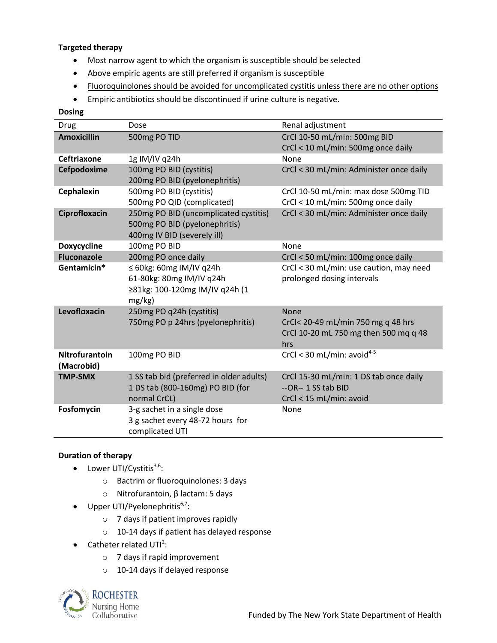#### **Targeted therapy**

- Most narrow agent to which the organism is susceptible should be selected
- Above empiric agents are still preferred if organism is susceptible
- Fluoroquinolones should be avoided for uncomplicated cystitis unless there are no other options
- Empiric antibiotics should be discontinued if urine culture is negative.

#### **Dosing**

| Drug                  | Dose                                     | Renal adjustment                        |
|-----------------------|------------------------------------------|-----------------------------------------|
| <b>Amoxicillin</b>    | 500mg PO TID                             | CrCl 10-50 mL/min: 500mg BID            |
|                       |                                          | CrCl < 10 mL/min: 500mg once daily      |
| <b>Ceftriaxone</b>    | 1g IM/IV q24h                            | None                                    |
| Cefpodoxime           | 100mg PO BID (cystitis)                  | CrCl < 30 mL/min: Administer once daily |
|                       | 200mg PO BID (pyelonephritis)            |                                         |
| Cephalexin            | 500mg PO BID (cystitis)                  | CrCl 10-50 mL/min: max dose 500mg TID   |
|                       | 500mg PO QID (complicated)               | CrCl < 10 mL/min: 500mg once daily      |
| Ciprofloxacin         | 250mg PO BID (uncomplicated cystitis)    | CrCl < 30 mL/min: Administer once daily |
|                       | 500mg PO BID (pyelonephritis)            |                                         |
|                       | 400mg IV BID (severely ill)              |                                         |
| <b>Doxycycline</b>    | 100mg PO BID                             | None                                    |
| <b>Fluconazole</b>    | 200mg PO once daily                      | CrCl < 50 mL/min: 100mg once daily      |
| Gentamicin*           | $\leq$ 60kg: 60mg IM/IV q24h             | CrCl < 30 mL/min: use caution, may need |
|                       | 61-80kg: 80mg IM/IV q24h                 | prolonged dosing intervals              |
|                       | ≥81kg: 100-120mg IM/IV q24h (1           |                                         |
|                       | $mg/kg$ )                                |                                         |
| Levofloxacin          | 250mg PO q24h (cystitis)                 | None                                    |
|                       | 750mg PO p 24hrs (pyelonephritis)        | CrCl< 20-49 mL/min 750 mg q 48 hrs      |
|                       |                                          | CrCl 10-20 mL 750 mg then 500 mq q 48   |
|                       |                                          | hrs                                     |
| <b>Nitrofurantoin</b> | 100mg PO BID                             | CrCl < 30 mL/min: avoid $4-5$           |
| (Macrobid)            |                                          |                                         |
| <b>TMP-SMX</b>        | 1 SS tab bid (preferred in older adults) | CrCl 15-30 mL/min: 1 DS tab once daily  |
|                       | 1 DS tab (800-160mg) PO BID (for         | --OR--1 SS tab BID                      |
|                       | normal CrCL)                             | CrCl < 15 mL/min: avoid                 |
| Fosfomycin            | 3-g sachet in a single dose              | None                                    |
|                       | 3 g sachet every 48-72 hours for         |                                         |
|                       | complicated UTI                          |                                         |

#### **Duration of therapy**

- Lower UTI/Cystitis $^{3,6}$ :
	- o Bactrim or fluoroquinolones: 3 days
	- o Nitrofurantoin, β lactam: 5 days
- Upper UTI/Pyelonephritis $6,7$ :
	- o 7 days if patient improves rapidly
	- o 10-14 days if patient has delayed response
- Catheter related  $UTI^2$ :
	- o 7 days if rapid improvement
	- o 10-14 days if delayed response

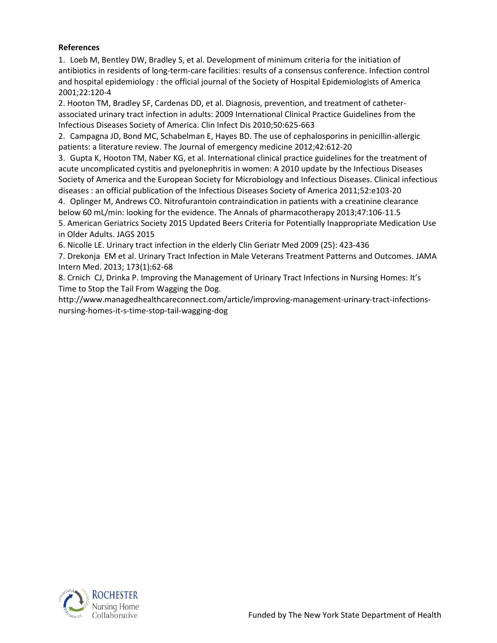#### **References**

<span id="page-3-0"></span>1. Loeb M, Bentley DW, Bradley S, et al. Development of minimum criteria for the initiation of antibiotics in residents of long-term-care facilities: results of a consensus conference. Infection control and hospital epidemiology : the official journal of the Society of Hospital Epidemiologists of America 2001;22:120-4

2. Hooton TM, Bradley SF, Cardenas DD, et al. Diagnosis, prevention, and treatment of catheterassociated urinary tract infection in adults: 2009 International Clinical Practice Guidelines from the Infectious Diseases Society of America. Clin Infect Dis 2010;50:625-663

<span id="page-3-1"></span>2. Campagna JD, Bond MC, Schabelman E, Hayes BD. The use of cephalosporins in penicillin-allergic patients: a literature review. The Journal of emergency medicine 2012;42:612-20

<span id="page-3-2"></span>3. Gupta K, Hooton TM, Naber KG, et al. International clinical practice guidelines for the treatment of acute uncomplicated cystitis and pyelonephritis in women: A 2010 update by the Infectious Diseases Society of America and the European Society for Microbiology and Infectious Diseases. Clinical infectious diseases : an official publication of the Infectious Diseases Society of America 2011;52:e103-20

<span id="page-3-3"></span>4. Oplinger M, Andrews CO. Nitrofurantoin contraindication in patients with a creatinine clearance below 60 mL/min: looking for the evidence. The Annals of pharmacotherapy 2013;47:106-11.5

5. American Geriatrics Society 2015 Updated Beers Criteria for Potentially Inappropriate Medication Use in Older Adults. JAGS 2015

6. Nicolle LE. Urinary tract infection in the elderly Clin Geriatr Med 2009 (25): 423-436

7. Drekonja EM et al. Urinary Tract Infection in Male Veterans Treatment Patterns and Outcomes. JAMA Intern Med. 2013; 173(1):62-68

8. Crnich CJ, Drinka P. Improving the Management of Urinary Tract Infections in Nursing Homes: It's Time to Stop the Tail From Wagging the Dog.

http://www.managedhealthcareconnect.com/article/improving-management-urinary-tract-infectionsnursing-homes-it-s-time-stop-tail-wagging-dog